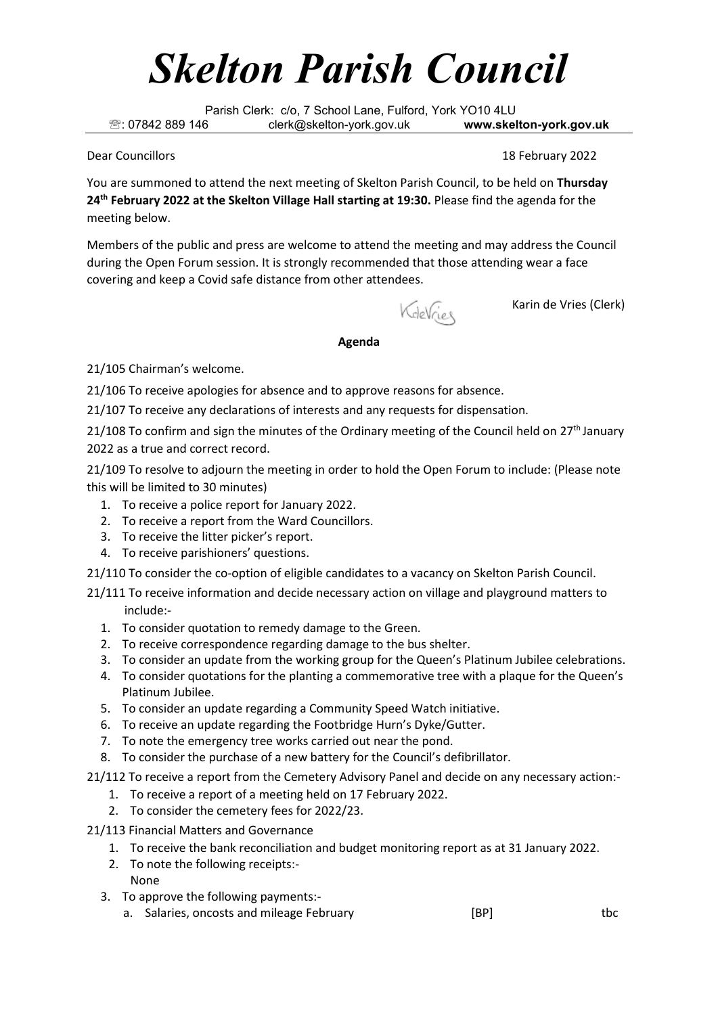## *Skelton Parish Council*

Parish Clerk: c/o, 7 School Lane, Fulford, York YO10 4LU : 07842 889 146 clerk@skelton-york.gov.uk **www.skelton-york.gov.uk**

Dear Councillors 18 February 2022

You are summoned to attend the next meeting of Skelton Parish Council, to be held on **Thursday 24 th February 2022 at the Skelton Village Hall starting at 19:30.** Please find the agenda for the meeting below.

Members of the public and press are welcome to attend the meeting and may address the Council during the Open Forum session. It is strongly recommended that those attending wear a face covering and keep a Covid safe distance from other attendees.

KdeVries

Karin de Vries (Clerk)

## **Agenda**

21/105 Chairman's welcome.

21/106 To receive apologies for absence and to approve reasons for absence.

21/107 To receive any declarations of interests and any requests for dispensation.

21/108 To confirm and sign the minutes of the Ordinary meeting of the Council held on 27<sup>th</sup> January 2022 as a true and correct record.

21/109 To resolve to adjourn the meeting in order to hold the Open Forum to include: (Please note this will be limited to 30 minutes)

- 1. To receive a police report for January 2022.
- 2. To receive a report from the Ward Councillors.
- 3. To receive the litter picker's report.
- 4. To receive parishioners' questions.

21/110 To consider the co-option of eligible candidates to a vacancy on Skelton Parish Council.

21/111 To receive information and decide necessary action on village and playground matters to include:-

- 1. To consider quotation to remedy damage to the Green.
- 2. To receive correspondence regarding damage to the bus shelter.
- 3. To consider an update from the working group for the Queen's Platinum Jubilee celebrations.
- 4. To consider quotations for the planting a commemorative tree with a plaque for the Queen's Platinum Jubilee.
- 5. To consider an update regarding a Community Speed Watch initiative.
- 6. To receive an update regarding the Footbridge Hurn's Dyke/Gutter.
- 7. To note the emergency tree works carried out near the pond.
- 8. To consider the purchase of a new battery for the Council's defibrillator.

21/112 To receive a report from the Cemetery Advisory Panel and decide on any necessary action:-

- 1. To receive a report of a meeting held on 17 February 2022.
- 2. To consider the cemetery fees for 2022/23.
- 21/113 Financial Matters and Governance
	- 1. To receive the bank reconciliation and budget monitoring report as at 31 January 2022.
	- 2. To note the following receipts:- None
	- 3. To approve the following payments:
		- a. Salaries, oncosts and mileage February [BP] The salaries, the state of the state of the state of the state o